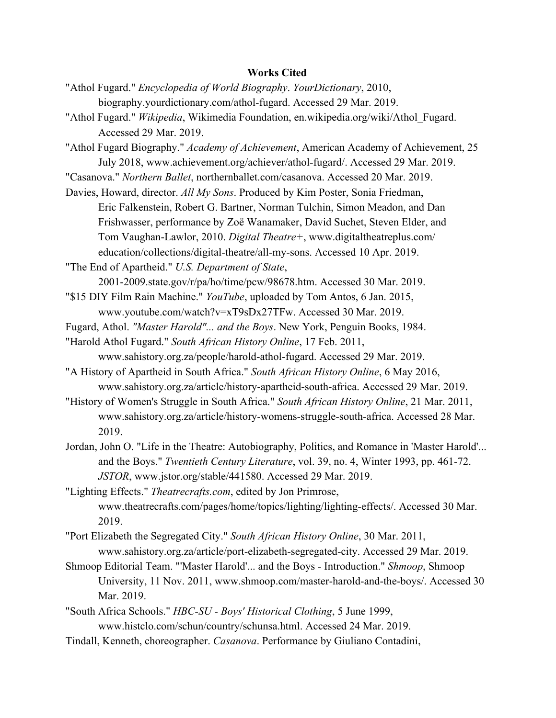## **Works Cited**

- "Athol Fugard." *Encyclopedia of World Biography*. *YourDictionary*, 2010, biography.yourdictionary.com/athol-fugard. Accessed 29 Mar. 2019.
- "Athol Fugard." *Wikipedia*, Wikimedia Foundation, en.wikipedia.org/wiki/Athol\_Fugard. Accessed 29 Mar. 2019.
- "Athol Fugard Biography." *Academy of Achievement*, American Academy of Achievement, 25 July 2018, www.achievement.org/achiever/athol-fugard/. Accessed 29 Mar. 2019.
- "Casanova." *Northern Ballet*, northernballet.com/casanova. Accessed 20 Mar. 2019.

Davies, Howard, director. *All My Sons*. Produced by Kim Poster, Sonia Friedman,

Eric Falkenstein, Robert G. Bartner, Norman Tulchin, Simon Meadon, and Dan Frishwasser, performance by Zoë Wanamaker, David Suchet, Steven Elder, and Tom Vaughan-Lawlor, 2010. *Digital Theatre+*, www.digitaltheatreplus.com/ education/collections/digital-theatre/all-my-sons. Accessed 10 Apr. 2019.

"The End of Apartheid." *U.S. Department of State*,

2001-2009.state.gov/r/pa/ho/time/pcw/98678.htm. Accessed 30 Mar. 2019.

- "\$15 DIY Film Rain Machine." *YouTube*, uploaded by Tom Antos, 6 Jan. 2015, www.youtube.com/watch?v=xT9sDx27TFw. Accessed 30 Mar. 2019.
- Fugard, Athol. *"Master Harold"... and the Boys*. New York, Penguin Books, 1984.

"Harold Athol Fugard." *South African History Online*, 17 Feb. 2011,

- www.sahistory.org.za/people/harold-athol-fugard. Accessed 29 Mar. 2019.
- "A History of Apartheid in South Africa." *South African History Online*, 6 May 2016, www.sahistory.org.za/article/history-apartheid-south-africa. Accessed 29 Mar. 2019.
- "History of Women's Struggle in South Africa." *South African History Online*, 21 Mar. 2011, www.sahistory.org.za/article/history-womens-struggle-south-africa. Accessed 28 Mar. 2019.
- Jordan, John O. "Life in the Theatre: Autobiography, Politics, and Romance in 'Master Harold'... and the Boys." *Twentieth Century Literature*, vol. 39, no. 4, Winter 1993, pp. 461-72. *JSTOR*, www.jstor.org/stable/441580. Accessed 29 Mar. 2019.

"Lighting Effects." *Theatrecrafts.com*, edited by Jon Primrose, www.theatrecrafts.com/pages/home/topics/lighting/lighting-effects/. Accessed 30 Mar. 2019.

- "Port Elizabeth the Segregated City." *South African History Online*, 30 Mar. 2011, www.sahistory.org.za/article/port-elizabeth-segregated-city. Accessed 29 Mar. 2019.
- Shmoop Editorial Team. "'Master Harold'... and the Boys Introduction." *Shmoop*, Shmoop University, 11 Nov. 2011, www.shmoop.com/master-harold-and-the-boys/. Accessed 30 Mar. 2019.
- "South Africa Schools." *HBC-SU Boys' Historical Clothing*, 5 June 1999, www.histclo.com/schun/country/schunsa.html. Accessed 24 Mar. 2019.
- Tindall, Kenneth, choreographer. *Casanova*. Performance by Giuliano Contadini,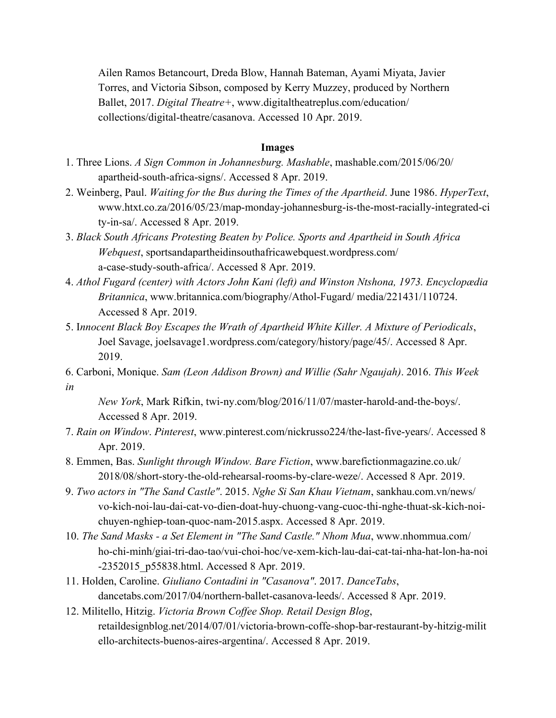Ailen Ramos Betancourt, Dreda Blow, Hannah Bateman, Ayami Miyata, Javier Torres, and Victoria Sibson, composed by Kerry Muzzey, produced by Northern Ballet, 2017. *Digital Theatre+*, www.digitaltheatreplus.com/education/ collections/digital-theatre/casanova. Accessed 10 Apr. 2019.

## **Images**

- 1. Three Lions. *A Sign Common in Johannesburg. Mashable*, mashable.com/2015/06/20/ apartheid-south-africa-signs/. Accessed 8 Apr. 2019.
- 2. Weinberg, Paul. *Waiting for the Bus during the Times of the Apartheid*. June 1986. *HyperText*, www.htxt.co.za/2016/05/23/map-monday-johannesburg-is-the-most-racially-integrated-ci ty-in-sa/. Accessed 8 Apr. 2019.
- 3. *Black South Africans Protesting Beaten by Police. Sports and Apartheid in South Africa Webquest*, sportsandapartheidinsouthafricawebquest.wordpress.com/ a-case-study-south-africa/. Accessed 8 Apr. 2019.
- 4. *Athol Fugard (center) with Actors John Kani (left) and Winston Ntshona, 1973. Encyclopædia Britannica*, www.britannica.com/biography/Athol-Fugard/ media/221431/110724. Accessed 8 Apr. 2019.
- 5. I*nnocent Black Boy Escapes the Wrath of Apartheid White Killer. A Mixture of Periodicals*, Joel Savage, joelsavage1.wordpress.com/category/history/page/45/. Accessed 8 Apr. 2019.
- 6. Carboni, Monique. *Sam (Leon Addison Brown) and Willie (Sahr Ngaujah)*. 2016. *This Week in*

*New York*, Mark Rifkin, twi-ny.com/blog/2016/11/07/master-harold-and-the-boys/. Accessed 8 Apr. 2019.

- 7. *Rain on Window*. *Pinterest*, www.pinterest.com/nickrusso224/the-last-five-years/. Accessed 8 Apr. 2019.
- 8. Emmen, Bas. *Sunlight through Window. Bare Fiction*, www.barefictionmagazine.co.uk/ 2018/08/short-story-the-old-rehearsal-rooms-by-clare-weze/. Accessed 8 Apr. 2019.
- 9. *Two actors in "The Sand Castle"*. 2015. *Nghe Si San Khau Vietnam*, sankhau.com.vn/news/ vo-kich-noi-lau-dai-cat-vo-dien-doat-huy-chuong-vang-cuoc-thi-nghe-thuat-sk-kich-noichuyen-nghiep-toan-quoc-nam-2015.aspx. Accessed 8 Apr. 2019.
- 10. *The Sand Masks a Set Element in "The Sand Castle." Nhom Mua*, www.nhommua.com/ ho-chi-minh/giai-tri-dao-tao/vui-choi-hoc/ve-xem-kich-lau-dai-cat-tai-nha-hat-lon-ha-noi -2352015\_p55838.html. Accessed 8 Apr. 2019.
- 11. Holden, Caroline. *Giuliano Contadini in "Casanova"*. 2017. *DanceTabs*, dancetabs.com/2017/04/northern-ballet-casanova-leeds/. Accessed 8 Apr. 2019.
- 12. Militello, Hitzig. *Victoria Brown Coffee Shop. Retail Design Blog*, retaildesignblog.net/2014/07/01/victoria-brown-coffe-shop-bar-restaurant-by-hitzig-milit ello-architects-buenos-aires-argentina/. Accessed 8 Apr. 2019.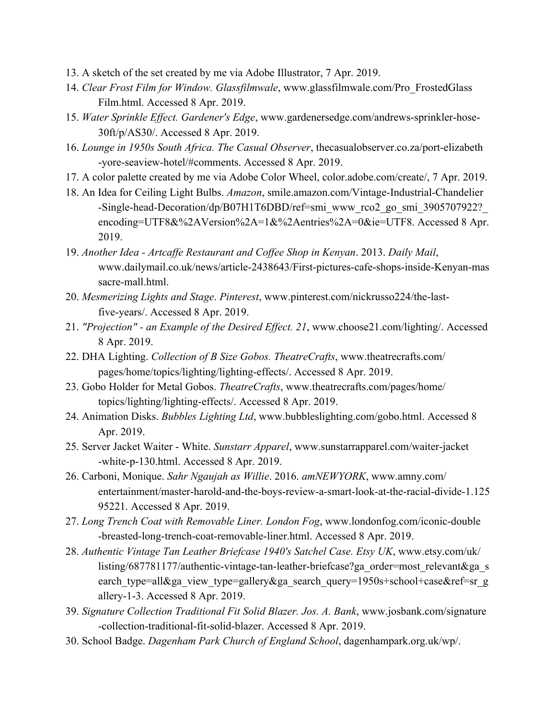- 13. A sketch of the set created by me via Adobe Illustrator, 7 Apr. 2019.
- 14. *Clear Frost Film for Window. Glassfilmwale*, www.glassfilmwale.com/Pro\_FrostedGlass Film.html. Accessed 8 Apr. 2019.
- 15. *Water Sprinkle Effect. Gardener's Edge*, www.gardenersedge.com/andrews-sprinkler-hose-30ft/p/AS30/. Accessed 8 Apr. 2019.
- 16. *Lounge in 1950s South Africa. The Casual Observer*, thecasualobserver.co.za/port-elizabeth -yore-seaview-hotel/#comments. Accessed 8 Apr. 2019.
- 17. A color palette created by me via Adobe Color Wheel, color.adobe.com/create/, 7 Apr. 2019.
- 18. An Idea for Ceiling Light Bulbs. *Amazon*, smile.amazon.com/Vintage-Industrial-Chandelier -Single-head-Decoration/dp/B07H1T6DBD/ref=smi\_www\_rco2\_go\_smi\_3905707922? encoding=UTF8&%2AVersion%2A=1&%2Aentries%2A=0&ie=UTF8. Accessed 8 Apr. 2019.
- 19. *Another Idea Artcaffe Restaurant and Coffee Shop in Kenyan*. 2013. *Daily Mail*, www.dailymail.co.uk/news/article-2438643/First-pictures-cafe-shops-inside-Kenyan-mas sacre-mall.html.
- 20. *Mesmerizing Lights and Stage*. *Pinterest*, www.pinterest.com/nickrusso224/the-lastfive-years/. Accessed 8 Apr. 2019.
- 21. *"Projection" an Example of the Desired Effect. 21*, www.choose21.com/lighting/. Accessed 8 Apr. 2019.
- 22. DHA Lighting. *Collection of B Size Gobos. TheatreCrafts*, www.theatrecrafts.com/ pages/home/topics/lighting/lighting-effects/. Accessed 8 Apr. 2019.
- 23. Gobo Holder for Metal Gobos. *TheatreCrafts*, www.theatrecrafts.com/pages/home/ topics/lighting/lighting-effects/. Accessed 8 Apr. 2019.
- 24. Animation Disks. *Bubbles Lighting Ltd*, www.bubbleslighting.com/gobo.html. Accessed 8 Apr. 2019.
- 25. Server Jacket Waiter White. *Sunstarr Apparel*, www.sunstarrapparel.com/waiter-jacket -white-p-130.html. Accessed 8 Apr. 2019.
- 26. Carboni, Monique. *Sahr Ngaujah as Willie*. 2016. *amNEWYORK*, www.amny.com/ entertainment/master-harold-and-the-boys-review-a-smart-look-at-the-racial-divide-1.125 95221. Accessed 8 Apr. 2019.
- 27. *Long Trench Coat with Removable Liner. London Fog*, www.londonfog.com/iconic-double -breasted-long-trench-coat-removable-liner.html. Accessed 8 Apr. 2019.
- 28. *Authentic Vintage Tan Leather Briefcase 1940's Satchel Case. Etsy UK*, www.etsy.com/uk/ listing/687781177/authentic-vintage-tan-leather-briefcase?ga\_order=most\_relevant&ga\_s earch\_type=all&ga\_view\_type=gallery&ga\_search\_query=1950s+school+case&ref=sr\_g allery-1-3. Accessed 8 Apr. 2019.
- 39. *Signature Collection Traditional Fit Solid Blazer. Jos. A. Bank*, www.josbank.com/signature -collection-traditional-fit-solid-blazer. Accessed 8 Apr. 2019.
- 30. School Badge. *Dagenham Park Church of England School*, dagenhampark.org.uk/wp/.